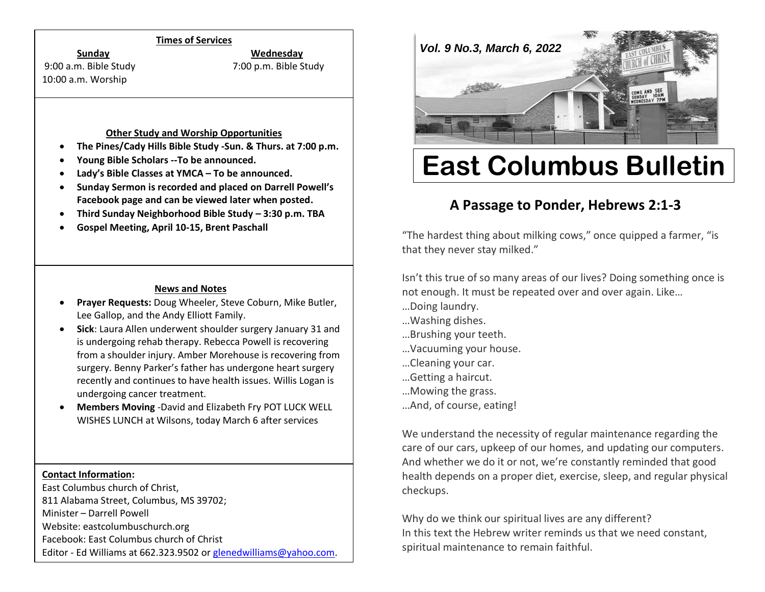#### **Times of Services**

**Sunday Wednesday**

10:00 a.m. Worship

9:00 a.m. Bible Study 7:00 p.m. Bible Study

#### **Other Study and Worship Opportunities**

- **The Pines/Cady Hills Bible Study -Sun. & Thurs. at 7:00 p.m.**
- **Young Bible Scholars --To be announced.**
- **Lady's Bible Classes at YMCA – To be announced.**
- **Sunday Sermon is recorded and placed on Darrell Powell's Facebook page and can be viewed later when posted.**
- **Third Sunday Neighborhood Bible Study – 3:30 p.m. TBA**
- **Gospel Meeting, April 10-15, Brent Paschall**

#### **News and Notes**

- **Prayer Requests:** Doug Wheeler, Steve Coburn, Mike Butler, Lee Gallop, and the Andy Elliott Family.
- **Sick**: Laura Allen underwent shoulder surgery January 31 and is undergoing rehab therapy. Rebecca Powell is recovering from a shoulder injury. Amber Morehouse is recovering from surgery. Benny Parker's father has undergone heart surgery recently and continues to have health issues. Willis Logan is undergoing cancer treatment.
- **Members Moving** -David and Elizabeth Fry POT LUCK WELL WISHES LUNCH at Wilsons, today March 6 after services

#### **Contact Information:**

East Columbus church of Christ, 811 Alabama Street, Columbus, MS 39702; Minister – Darrell Powell Website: eastcolumbuschurch.org Facebook: East Columbus church of Christ Editor - Ed Williams at 662.323.9502 o[r glenedwilliams@yahoo.com.](mailto:glenedwilliams@yahoo.com)



# **East Columbus Bulletin**

# **A Passage to Ponder, Hebrews 2:1-3**

"The hardest thing about milking cows," once quipped a farmer, "is that they never stay milked."

Isn't this true of so many areas of our lives? Doing something once is not enough. It must be repeated over and over again. Like…

- …Doing laundry.
- …Washing dishes.
- …Brushing your teeth.
- …Vacuuming your house.
- …Cleaning your car.
- …Getting a haircut.
- …Mowing the grass.
- …And, of course, eating!

We understand the necessity of regular maintenance regarding the care of our cars, upkeep of our homes, and updating our computers. And whether we do it or not, we're constantly reminded that good health depends on a proper diet, exercise, sleep, and regular physical checkups.

Why do we think our spiritual lives are any different? In this text the Hebrew writer reminds us that we need constant, spiritual maintenance to remain faithful.